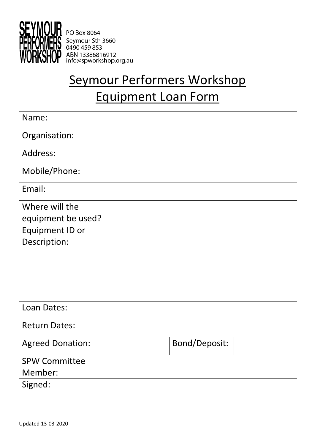

PO Box 8064 Seymour Sth 3660 0490 459 853 ABN 13386816912<br>info@spworkshop.org.au

# Seymour Performers Workshop Equipment Loan Form

| Name:                   |               |  |
|-------------------------|---------------|--|
| Organisation:           |               |  |
| Address:                |               |  |
| Mobile/Phone:           |               |  |
| Email:                  |               |  |
| Where will the          |               |  |
| equipment be used?      |               |  |
| Equipment ID or         |               |  |
| Description:            |               |  |
|                         |               |  |
|                         |               |  |
|                         |               |  |
|                         |               |  |
| Loan Dates:             |               |  |
|                         |               |  |
| <b>Return Dates:</b>    |               |  |
| <b>Agreed Donation:</b> | Bond/Deposit: |  |
| <b>SPW Committee</b>    |               |  |
| Member:                 |               |  |
| Signed:                 |               |  |